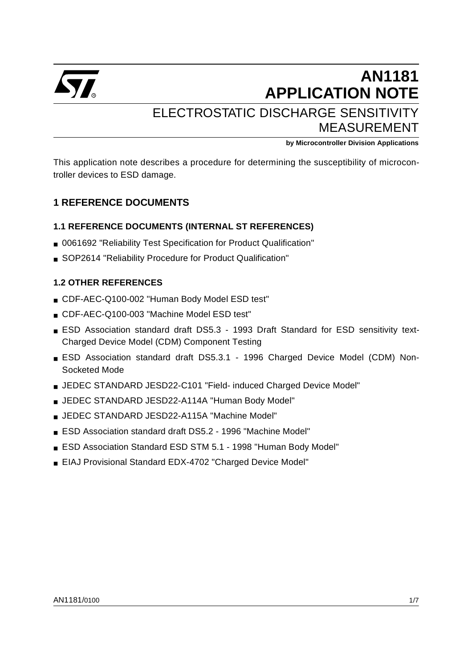

# **AN1181 APPLICATION NOTE** ELECTROSTATIC DISCHARGE SENSITIVITY MEASUREMENT

**by Microcontroller Division Applications**

This application note describes a procedure for determining the susceptibility of microcontroller devices to ESD damage.

# **1 REFERENCE DOCUMENTS**

## **1.1 REFERENCE DOCUMENTS (INTERNAL ST REFERENCES)**

- 0061692 "Reliability Test Specification for Product Qualification"
- SOP2614 "Reliability Procedure for Product Qualification"

## **1.2 OTHER REFERENCES**

- CDF-AEC-Q100-002 "Human Body Model ESD test"
- CDF-AEC-Q100-003 "Machine Model ESD test"
- ESD Association standard draft DS5.3 1993 Draft Standard for ESD sensitivity text-Charged Device Model (CDM) Component Testing
- ESD Association standard draft DS5.3.1 1996 Charged Device Model (CDM) Non-Socketed Mode
- JEDEC STANDARD JESD22-C101 "Field- induced Charged Device Model"
- JEDEC STANDARD JESD22-A114A "Human Body Model"
- JEDEC STANDARD JESD22-A115A "Machine Model"
- ESD Association standard draft DS5.2 1996 "Machine Model"
- ESD Association Standard ESD STM 5.1 1998 "Human Body Model"
- EIAJ Provisional Standard EDX-4702 "Charged Device Model"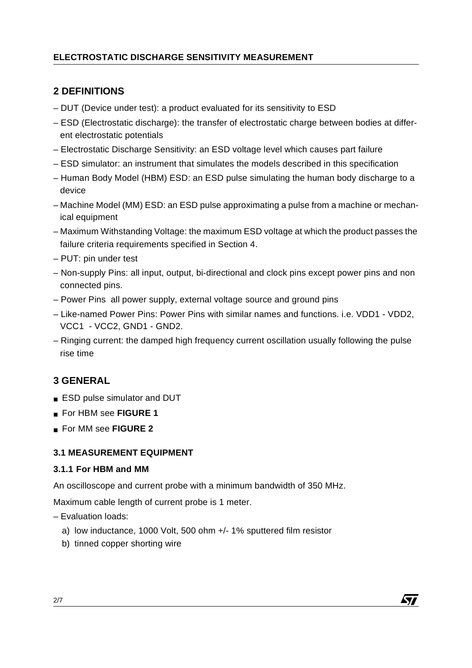# **ELECTROSTATIC DISCHARGE SENSITIVITY MEASUREMENT**

# **2 DEFINITIONS**

- DUT (Device under test): a product evaluated for its sensitivity to ESD
- ESD (Electrostatic discharge): the transfer of electrostatic charge between bodies at different electrostatic potentials
- Electrostatic Discharge Sensitivity: an ESD voltage level which causes part failure
- ESD simulator: an instrument that simulates the models described in this specification
- Human Body Model (HBM) ESD: an ESD pulse simulating the human body discharge to a device
- Machine Model (MM) ESD: an ESD pulse approximating a pulse from a machine or mechanical equipment
- Maximum Withstanding Voltage: the maximum ESD voltage at which the product passes the failure criteria requirements specified in Section 4.
- PUT: pin under test
- Non-supply Pins: all input, output, bi-directional and clock pins except power pins and non connected pins.
- Power Pins all power supply, external voltage source and ground pins
- Like-named Power Pins: Power Pins with similar names and functions. i.e. VDD1 VDD2, VCC1 - VCC2, GND1 - GND2.
- Ringing current: the damped high frequency current oscillation usually following the pulse rise time

# **3 GENERAL**

- ESD pulse simulator and DUT
- For HBM see **FIGURE 1**
- For MM see **FIGURE 2**

## **3.1 MEASUREMENT EQUIPMENT**

## **3.1.1 For HBM and MM**

An oscilloscope and current probe with a minimum bandwidth of 350 MHz.

Maximum cable length of current probe is 1 meter.

- Evaluation loads:
	- a) low inductance, 1000 Volt, 500 ohm +/- 1% sputtered film resistor
	- b) tinned copper shorting wire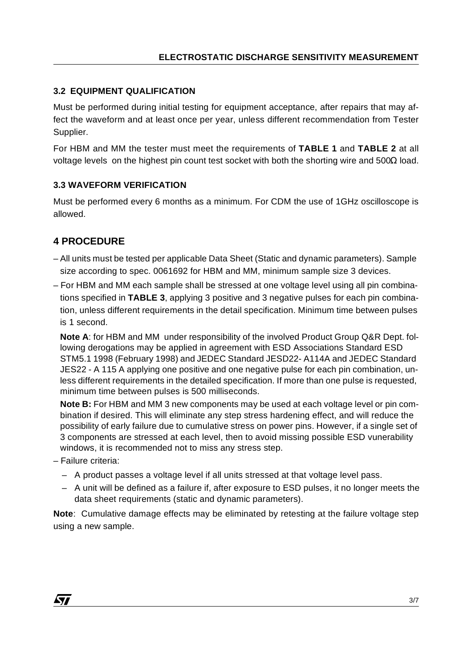## **3.2 EQUIPMENT QUALIFICATION**

Must be performed during initial testing for equipment acceptance, after repairs that may affect the waveform and at least once per year, unless different recommendation from Tester Supplier.

For HBM and MM the tester must meet the requirements of **TABLE 1** and **TABLE 2** at all voltage levels on the highest pin count test socket with both the shorting wire and 500Ω load.

## **3.3 WAVEFORM VERIFICATION**

Must be performed every 6 months as a minimum. For CDM the use of 1GHz oscilloscope is allowed.

# **4 PROCEDURE**

- All units must be tested per applicable Data Sheet (Static and dynamic parameters). Sample size according to spec. 0061692 for HBM and MM, minimum sample size 3 devices.
- For HBM and MM each sample shall be stressed at one voltage level using all pin combinations specified in **TABLE 3**, applying 3 positive and 3 negative pulses for each pin combination, unless different requirements in the detail specification. Minimum time between pulses is 1 second.

**Note A**: for HBM and MM under responsibility of the involved Product Group Q&R Dept. following derogations may be applied in agreement with ESD Associations Standard ESD STM5.1 1998 (February 1998) and JEDEC Standard JESD22- A114A and JEDEC Standard JES22 - A 115 A applying one positive and one negative pulse for each pin combination, unless different requirements in the detailed specification. If more than one pulse is requested, minimum time between pulses is 500 milliseconds.

**Note B:** For HBM and MM 3 new components may be used at each voltage level or pin combination if desired. This will eliminate any step stress hardening effect, and will reduce the possibility of early failure due to cumulative stress on power pins. However, if a single set of 3 components are stressed at each level, then to avoid missing possible ESD vunerability windows, it is recommended not to miss any stress step.

- Failure criteria:
	- A product passes a voltage level if all units stressed at that voltage level pass.
	- A unit will be defined as a failure if, after exposure to ESD pulses, it no longer meets the data sheet requirements (static and dynamic parameters).

**Note**: Cumulative damage effects may be eliminated by retesting at the failure voltage step using a new sample.

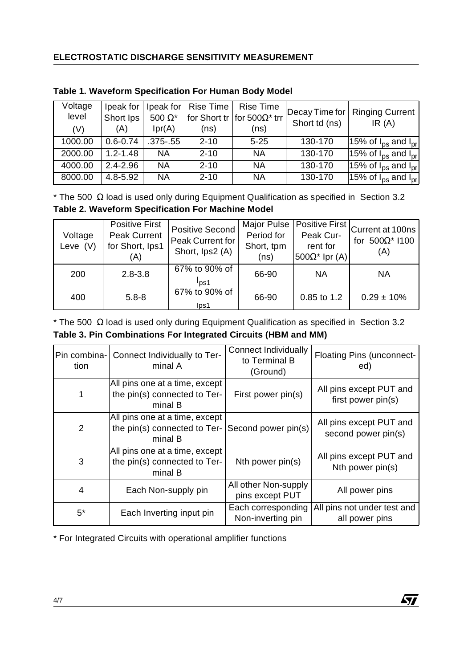# **ELECTROSTATIC DISCHARGE SENSITIVITY MEASUREMENT**

| Voltage<br>level | Ipeak for $ $<br>Short lps | 500 $\Omega^*$ | Ipeak for   Rise Time | Rise Time<br>for Short tr   for 500 $\Omega^*$ trr | Short td (ns) | Decay Time for   Ringing Current<br>IR(A)  |
|------------------|----------------------------|----------------|-----------------------|----------------------------------------------------|---------------|--------------------------------------------|
| (V)              | (A)                        | Ipr(A)         | (ns)                  | (ns)                                               |               |                                            |
| 1000.00          | $0.6 - 0.74$               | $.375-.55$     | $2 - 10$              | $5 - 25$                                           | 130-170       | 15% of $I_{DS}$ and $I_{pr}$               |
| 2000.00          | $1.2 - 1.48$               | <b>NA</b>      | $2 - 10$              | <b>NA</b>                                          | 130-170       | 15% of $I_{\text{ps}}$ and $I_{\text{pr}}$ |
| 4000.00          | $2.4 - 2.96$               | <b>NA</b>      | $2 - 10$              | <b>NA</b>                                          | 130-170       | $\sqrt{15\%}$ of $I_{DS}$ and $I_{pr}$     |
| 8000.00          | 4.8-5.92                   | <b>NA</b>      | $2 - 10$              | <b>NA</b>                                          | 130-170       | 15% of $I_{DS}$ and $I_{pr}$               |

## **Table 1. Waveform Specification For Human Body Model**

 $*$  The 500 Ω load is used only during Equipment Qualification as specified in Section 3.2 **Table 2. Waveform Specification For Machine Model**

| Voltage<br>Leve $(V)$ | <b>Positive First</b><br><b>Peak Current</b><br>for Short, Ips1<br>(A) | <b>Positive Second</b><br>Peak Current for<br>Short, Ips2 (A) | Major Pulse<br>Period for<br>Short, tpm<br>(ns) | <b>Positive First</b><br>Peak Cur-<br>rent for<br>$500\Omega^*$ lpr (A) | Current at 100ns<br>500 $\Omega^*$ 1100<br>for<br>(A) |
|-----------------------|------------------------------------------------------------------------|---------------------------------------------------------------|-------------------------------------------------|-------------------------------------------------------------------------|-------------------------------------------------------|
| 200                   | $2.8 - 3.8$                                                            | 67% to 90% of<br>$I_{DS1}$                                    | 66-90                                           | <b>NA</b>                                                               | <b>NA</b>                                             |
| 400                   | $5.8 - 8$                                                              | 67% to 90% of<br>lps1                                         | 66-90                                           | 0.85 to 1.2                                                             | $0.29 \pm 10\%$                                       |

 $*$  The 500  $\Omega$  load is used only during Equipment Qualification as specified in Section 3.2 **Table 3. Pin Combinations For Integrated Circuits (HBM and MM)**

| tion  | Pin combina- Connect Individually to Ter-<br>minal A                        | <b>Connect Individually</b><br>to Terminal B<br>(Ground) | Floating Pins (unconnect-<br>ed)               |
|-------|-----------------------------------------------------------------------------|----------------------------------------------------------|------------------------------------------------|
|       | All pins one at a time, except<br>the pin(s) connected to Ter-<br>minal B   | First power pin(s)                                       | All pins except PUT and<br>first power pin(s)  |
| 2     | All pins one at a time, except<br>the pin(s) connected to $Ter-$<br>minal B | Second power pin(s)                                      | All pins except PUT and<br>second power pin(s) |
| 3     | All pins one at a time, except<br>the pin(s) connected to Ter-<br>minal B   | Nth power pin(s)                                         | All pins except PUT and<br>Nth power pin(s)    |
| 4     | Each Non-supply pin                                                         | All other Non-supply<br>pins except PUT                  | All power pins                                 |
| $5^*$ | Each Inverting input pin                                                    | Each corresponding<br>Non-inverting pin                  | All pins not under test and<br>all power pins  |

\* For Integrated Circuits with operational amplifier functions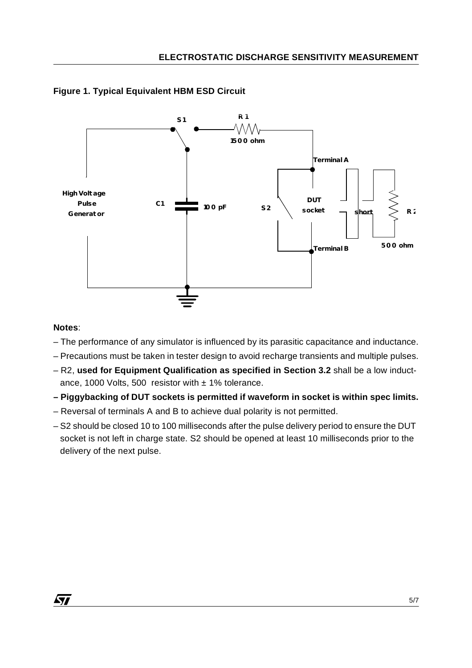



## **Notes**:

- The performance of any simulator is influenced by its parasitic capacitance and inductance.
- Precautions must be taken in tester design to avoid recharge transients and multiple pulses.
- R2, **used for Equipment Qualification as specified in Section 3.2** shall be a low inductance, 1000 Volts, 500 resistor with  $\pm$  1% tolerance.
- **Piggybacking of DUT sockets is permitted if waveform in socket is within spec limits.**
- Reversal of terminals A and B to achieve dual polarity is not permitted.
- S2 should be closed 10 to 100 milliseconds after the pulse delivery period to ensure the DUT socket is not left in charge state. S2 should be opened at least 10 milliseconds prior to the delivery of the next pulse.

*ST*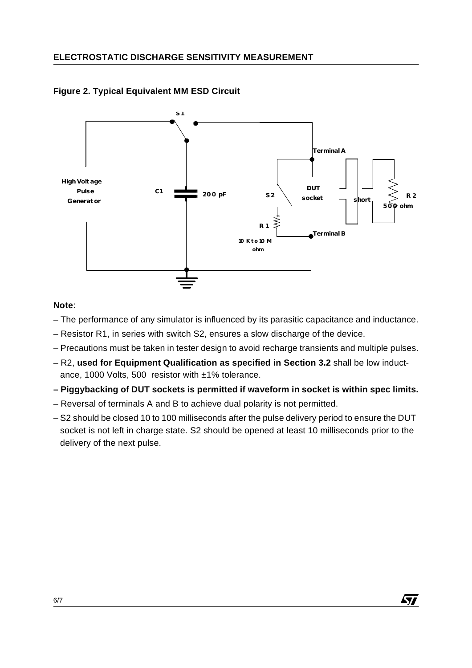

## **Figure 2. Typical Equivalent MM ESD Circuit**

## **Note**:

- The performance of any simulator is influenced by its parasitic capacitance and inductance.
- Resistor R1, in series with switch S2, ensures a slow discharge of the device.
- Precautions must be taken in tester design to avoid recharge transients and multiple pulses.
- R2, **used for Equipment Qualification as specified in Section 3.2** shall be low inductance, 1000 Volts, 500 resistor with ±1% tolerance.
- **Piggybacking of DUT sockets is permitted if waveform in socket is within spec limits.**
- Reversal of terminals A and B to achieve dual polarity is not permitted.
- S2 should be closed 10 to 100 milliseconds after the pulse delivery period to ensure the DUT socket is not left in charge state. S2 should be opened at least 10 milliseconds prior to the delivery of the next pulse.

**ST**